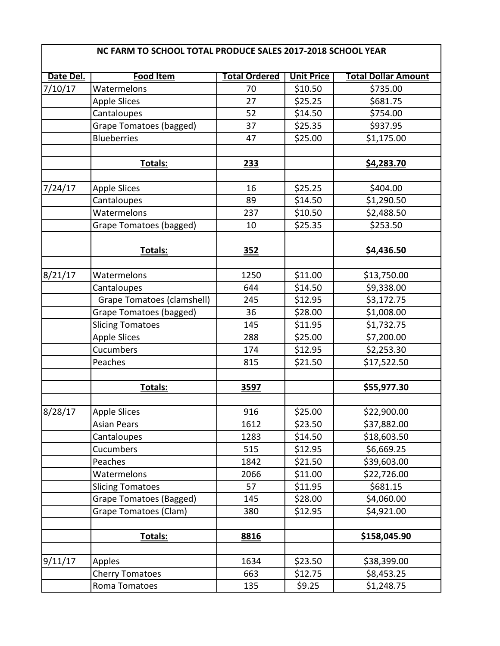| NC FARM TO SCHOOL TOTAL PRODUCE SALES 2017-2018 SCHOOL YEAR |                                   |                      |                   |                            |  |
|-------------------------------------------------------------|-----------------------------------|----------------------|-------------------|----------------------------|--|
| Date Del.                                                   | <b>Food Item</b>                  | <b>Total Ordered</b> | <b>Unit Price</b> | <b>Total Dollar Amount</b> |  |
| 7/10/17                                                     | Watermelons                       | 70                   | \$10.50           | \$735.00                   |  |
|                                                             | <b>Apple Slices</b>               | 27                   | \$25.25           | \$681.75                   |  |
|                                                             | Cantaloupes                       | 52                   | \$14.50           | \$754.00                   |  |
|                                                             | Grape Tomatoes (bagged)           | 37                   | \$25.35           | \$937.95                   |  |
|                                                             | <b>Blueberries</b>                | 47                   | \$25.00           | \$1,175.00                 |  |
|                                                             |                                   |                      |                   |                            |  |
|                                                             | Totals:                           | 233                  |                   | \$4,283.70                 |  |
|                                                             |                                   |                      |                   |                            |  |
| 7/24/17                                                     | <b>Apple Slices</b>               | 16                   | \$25.25           | \$404.00                   |  |
|                                                             | Cantaloupes                       | 89                   | \$14.50           | \$1,290.50                 |  |
|                                                             | Watermelons                       | 237                  | \$10.50           | \$2,488.50                 |  |
|                                                             | Grape Tomatoes (bagged)           | 10                   | \$25.35           | \$253.50                   |  |
|                                                             | Totals:                           | 352                  |                   | \$4,436.50                 |  |
|                                                             |                                   |                      |                   |                            |  |
| 8/21/17                                                     | Watermelons                       | 1250                 | \$11.00           | \$13,750.00                |  |
|                                                             | Cantaloupes                       | 644                  | \$14.50           | \$9,338.00                 |  |
|                                                             | <b>Grape Tomatoes (clamshell)</b> | 245                  | \$12.95           | \$3,172.75                 |  |
|                                                             | Grape Tomatoes (bagged)           | 36                   | \$28.00           | \$1,008.00                 |  |
|                                                             | <b>Slicing Tomatoes</b>           | 145                  | \$11.95           | \$1,732.75                 |  |
|                                                             | <b>Apple Slices</b>               | 288                  | \$25.00           | \$7,200.00                 |  |
|                                                             | Cucumbers                         | 174                  | \$12.95           | \$2,253.30                 |  |
|                                                             | Peaches                           | 815                  | \$21.50           | \$17,522.50                |  |
|                                                             | Totals:                           | 3597                 |                   | \$55,977.30                |  |
|                                                             |                                   |                      |                   |                            |  |
| 8/28/17                                                     | Apple Slices                      | 916                  | \$25.00           | \$22,900.00                |  |
|                                                             | <b>Asian Pears</b>                | 1612                 | \$23.50           | \$37,882.00                |  |
|                                                             | Cantaloupes                       | 1283                 | \$14.50           | \$18,603.50                |  |
|                                                             | Cucumbers                         | 515                  | \$12.95           | \$6,669.25                 |  |
|                                                             | Peaches                           | 1842                 | \$21.50           | \$39,603.00                |  |
|                                                             | Watermelons                       | 2066                 | \$11.00           | \$22,726.00                |  |
|                                                             | <b>Slicing Tomatoes</b>           | 57                   | \$11.95           | \$681.15                   |  |
|                                                             | Grape Tomatoes (Bagged)           | 145                  | \$28.00           | \$4,060.00                 |  |
|                                                             | Grape Tomatoes (Clam)             | 380                  | \$12.95           | \$4,921.00                 |  |
|                                                             | <b>Totals:</b>                    | 8816                 |                   | \$158,045.90               |  |
|                                                             | Apples                            | 1634                 | \$23.50           | \$38,399.00                |  |
| 9/11/17                                                     |                                   | 663                  | \$12.75           | \$8,453.25                 |  |
|                                                             | <b>Cherry Tomatoes</b>            |                      |                   |                            |  |
|                                                             | Roma Tomatoes                     | 135                  | \$9.25            | \$1,248.75                 |  |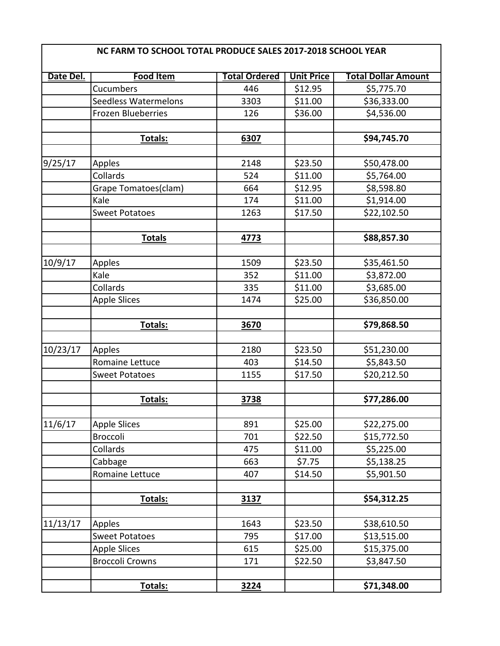| NC FARM TO SCHOOL TOTAL PRODUCE SALES 2017-2018 SCHOOL YEAR |                           |                      |                   |                            |
|-------------------------------------------------------------|---------------------------|----------------------|-------------------|----------------------------|
| Date Del.                                                   | Food Item                 | <b>Total Ordered</b> | <b>Unit Price</b> | <b>Total Dollar Amount</b> |
|                                                             | Cucumbers                 | 446                  | \$12.95           | \$5,775.70                 |
|                                                             | Seedless Watermelons      | 3303                 | \$11.00           | \$36,333.00                |
|                                                             | <b>Frozen Blueberries</b> | 126                  | \$36.00           | \$4,536.00                 |
|                                                             | Totals:                   | 6307                 |                   | \$94,745.70                |
| 9/25/17                                                     | Apples                    | 2148                 | \$23.50           | \$50,478.00                |
|                                                             | Collards                  | 524                  | \$11.00           | \$5,764.00                 |
|                                                             | Grape Tomatoes(clam)      | 664                  | \$12.95           | \$8,598.80                 |
|                                                             | Kale                      | 174                  | \$11.00           | \$1,914.00                 |
|                                                             | <b>Sweet Potatoes</b>     | 1263                 | \$17.50           | \$22,102.50                |
|                                                             | <b>Totals</b>             | 4773                 |                   | \$88,857.30                |
|                                                             |                           |                      |                   |                            |
| 10/9/17                                                     | Apples                    | 1509                 | \$23.50           | \$35,461.50                |
|                                                             | Kale                      | 352                  | \$11.00           | \$3,872.00                 |
|                                                             | Collards                  | 335                  | \$11.00           | \$3,685.00                 |
|                                                             | <b>Apple Slices</b>       | 1474                 | \$25.00           | \$36,850.00                |
|                                                             | <b>Totals:</b>            | 3670                 |                   | \$79,868.50                |
|                                                             |                           |                      |                   |                            |
| 10/23/17                                                    | Apples                    | 2180                 | \$23.50           | \$51,230.00                |
|                                                             | <b>Romaine Lettuce</b>    | 403                  | \$14.50           | \$5,843.50                 |
|                                                             | <b>Sweet Potatoes</b>     | 1155                 | \$17.50           | \$20,212.50                |
|                                                             | Totals:                   | 3738                 |                   | \$77,286.00                |
| 11/6/17                                                     | <b>Apple Slices</b>       | 891                  | \$25.00           | \$22,275.00                |
|                                                             | <b>Broccoli</b>           | 701                  | \$22.50           | \$15,772.50                |
|                                                             | Collards                  | 475                  | \$11.00           | \$5,225.00                 |
|                                                             | Cabbage                   | 663                  | \$7.75            | \$5,138.25                 |
|                                                             | Romaine Lettuce           | 407                  | \$14.50           | \$5,901.50                 |
|                                                             |                           |                      |                   |                            |
|                                                             | <b>Totals:</b>            | 3137                 |                   | \$54,312.25                |
| 11/13/17                                                    | Apples                    | 1643                 | \$23.50           | \$38,610.50                |
|                                                             | <b>Sweet Potatoes</b>     | 795                  | \$17.00           | \$13,515.00                |
|                                                             | <b>Apple Slices</b>       | 615                  | \$25.00           | \$15,375.00                |
|                                                             | <b>Broccoli Crowns</b>    | 171                  | \$22.50           | \$3,847.50                 |
|                                                             | Totals:                   | 3224                 |                   | \$71,348.00                |

 $\mathsf \Gamma$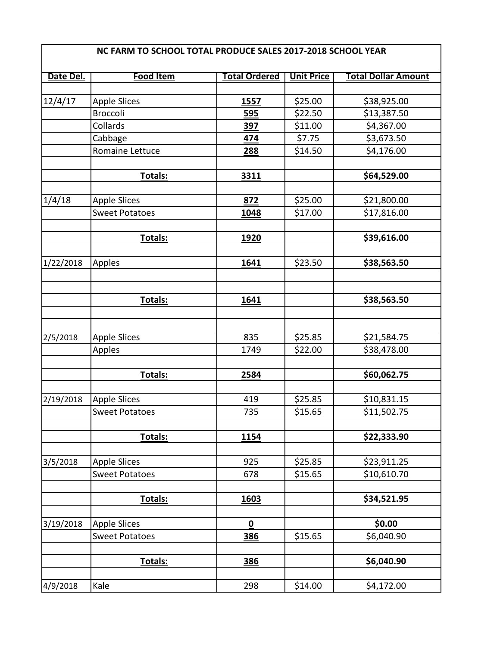| Date Del. | <b>Food Item</b>      | <b>Total Ordered</b> | <b>Unit Price</b> | <b>Total Dollar Amount</b> |
|-----------|-----------------------|----------------------|-------------------|----------------------------|
|           |                       |                      |                   |                            |
| 12/4/17   | <b>Apple Slices</b>   | 1557                 | \$25.00           | \$38,925.00                |
|           | Broccoli              | 595                  | \$22.50           | \$13,387.50                |
|           | Collards              | 397                  | \$11.00           | \$4,367.00                 |
|           | Cabbage               | 474                  | \$7.75            | \$3,673.50                 |
|           | Romaine Lettuce       | 288                  | \$14.50           | \$4,176.00                 |
|           |                       |                      |                   |                            |
|           | Totals:               | 3311                 |                   | \$64,529.00                |
|           |                       |                      |                   |                            |
| 1/4/18    | <b>Apple Slices</b>   | 872                  | \$25.00           | \$21,800.00                |
|           | <b>Sweet Potatoes</b> | 1048                 | \$17.00           | \$17,816.00                |
|           | Totals:               | 1920                 |                   | \$39,616.00                |
|           |                       |                      |                   |                            |
| 1/22/2018 | Apples                | 1641                 | \$23.50           | \$38,563.50                |
|           |                       |                      |                   |                            |
|           |                       |                      |                   |                            |
|           | Totals:               | 1641                 |                   | \$38,563.50                |
|           |                       |                      |                   |                            |
| 2/5/2018  | <b>Apple Slices</b>   | 835                  | \$25.85           | \$21,584.75                |
|           | Apples                | 1749                 | \$22.00           | \$38,478.00                |
|           |                       |                      |                   |                            |
|           | Totals:               | 2584                 |                   | \$60,062.75                |
|           |                       |                      |                   |                            |
| 2/19/2018 | <b>Apple Slices</b>   | 419                  | \$25.85           | \$10,831.15                |
|           | <b>Sweet Potatoes</b> | 735                  | \$15.65           | \$11,502.75                |
|           |                       |                      |                   |                            |
|           | Totals:               | <b>1154</b>          |                   | \$22,333.90                |
| 3/5/2018  | <b>Apple Slices</b>   | 925                  | \$25.85           | \$23,911.25                |
|           | <b>Sweet Potatoes</b> | 678                  | \$15.65           | \$10,610.70                |
|           |                       |                      |                   |                            |
|           | Totals:               | 1603                 |                   | \$34,521.95                |
|           |                       |                      |                   |                            |
| 3/19/2018 | <b>Apple Slices</b>   | $\pmb{0}$            |                   | \$0.00                     |
|           | <b>Sweet Potatoes</b> | 386                  | \$15.65           | \$6,040.90                 |
|           |                       |                      |                   |                            |
|           | Totals:               | 386                  |                   | \$6,040.90                 |
|           |                       |                      |                   |                            |
| 4/9/2018  | Kale                  | 298                  | \$14.00           | \$4,172.00                 |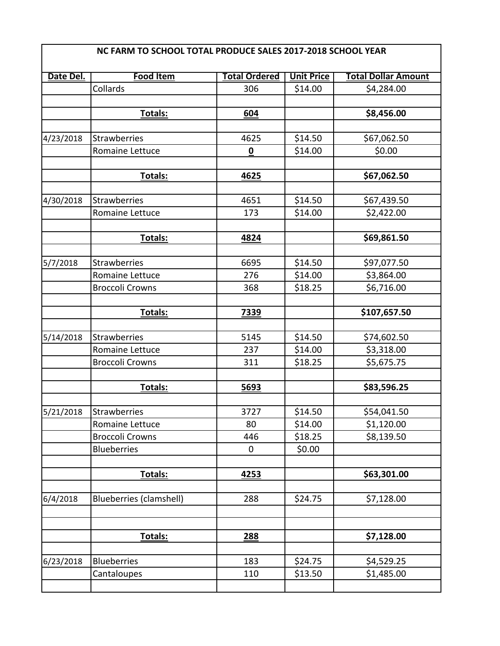| Date Del. | <b>Food Item</b>                             | <b>Total Ordered</b> | <b>Unit Price</b> | <b>Total Dollar Amount</b> |
|-----------|----------------------------------------------|----------------------|-------------------|----------------------------|
|           | Collards                                     | 306                  | \$14.00           | \$4,284.00                 |
|           |                                              |                      |                   |                            |
|           | <b>Totals:</b>                               | 604                  |                   | \$8,456.00                 |
|           |                                              |                      |                   |                            |
| 4/23/2018 | <b>Strawberries</b>                          | 4625                 | \$14.50           | \$67,062.50                |
|           | <b>Romaine Lettuce</b>                       | 0                    | \$14.00           | \$0.00                     |
|           | Totals:                                      | 4625                 |                   | \$67,062.50                |
| 4/30/2018 | <b>Strawberries</b>                          | 4651                 | \$14.50           | \$67,439.50                |
|           | Romaine Lettuce                              | 173                  | \$14.00           | \$2,422.00                 |
|           |                                              |                      |                   |                            |
|           | Totals:                                      | 4824                 |                   | \$69,861.50                |
| 5/7/2018  | <b>Strawberries</b>                          | 6695                 | \$14.50           | \$97,077.50                |
|           | Romaine Lettuce                              | 276                  | \$14.00           | \$3,864.00                 |
|           | <b>Broccoli Crowns</b>                       | 368                  | \$18.25           | \$6,716.00                 |
|           |                                              |                      |                   |                            |
|           | Totals:                                      | <b>7339</b>          |                   | \$107,657.50               |
| 5/14/2018 | <b>Strawberries</b>                          | 5145                 | \$14.50           | \$74,602.50                |
|           | Romaine Lettuce                              | 237                  | \$14.00           | \$3,318.00                 |
|           | <b>Broccoli Crowns</b>                       | 311                  | \$18.25           | \$5,675.75                 |
|           | Totals:                                      | 5693                 |                   | \$83,596.25                |
|           |                                              |                      |                   |                            |
| 5/21/2018 | <b>Strawberries</b>                          | 3727                 | \$14.50           | \$54,041.50                |
|           | Romaine Lettuce                              | 80                   | \$14.00           | \$1,120.00                 |
|           | <b>Broccoli Crowns</b><br><b>Blueberries</b> | 446<br>$\mathbf 0$   | \$18.25<br>\$0.00 | \$8,139.50                 |
|           |                                              |                      |                   |                            |
|           | Totals:                                      | 4253                 |                   | \$63,301.00                |
| 6/4/2018  | Blueberries (clamshell)                      | 288                  | \$24.75           | \$7,128.00                 |
|           | Totals:                                      | 288                  |                   | \$7,128.00                 |
|           |                                              |                      |                   |                            |
| 6/23/2018 | <b>Blueberries</b>                           | 183                  | \$24.75           | \$4,529.25                 |
|           | Cantaloupes                                  | 110                  | \$13.50           | \$1,485.00                 |